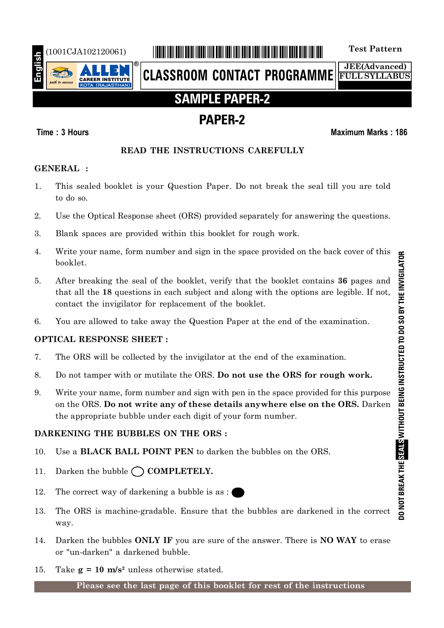

# (1001CJA102120061) \*1001CJA102120061\* **Test Pattern**

**CLASSROOM CONTACT PROGRAMME**

**JEE(Advanced) FULL SYLLABUS**

# **SAMPLE PAPER-2**

# **PAPER-2**

# **Time : 3 Hours Maximum Marks : 186**

# **READ THE INSTRUCTIONS CAREFULLY**

# **GENERAL :**

- 1. This sealed booklet is your Question Paper. Do not break the seal till you are told to do so.
- 2. Use the Optical Response sheet (ORS) provided separately for answering the questions.
- 3. Blank spaces are provided within this booklet for rough work.
- 4. Write your name, form number and sign in the space provided on the back cover of this booklet.
- 5. After breaking the seal of the booklet, verify that the booklet contains **36** pages and that all the **18** questions in each subject and along with the options are legible. If not, contact the invigilator for replacement of the booklet.
- 6. You are allowed to take away the Question Paper at the end of the examination.

# **OPTICAL RESPONSE SHEET :**

- 7. The ORS will be collected by the invigilator at the end of the examination.
- 8. Do not tamper with or mutilate the ORS. **Do not use the ORS for rough work.**
- 9. Write your name, form number and sign with pen in the space provided for this purpose on the ORS. **Do not write any of these details anywhere else on the ORS.** Darken the appropriate bubble under each digit of your form number.

# **DARKENING THE BUBBLES ON THE ORS :**

- 10. Use a **BLACK BALL POINT PEN** to darken the bubbles on the ORS.
- 11. Darken the bubble  $\bigcap$  **COMPLETELY.**
- 12. The correct way of darkening a bubble is as :
- 13. The ORS is machine-gradable. Ensure that the bubbles are darkened in the correct way.
- 14. Darken the bubbles **ONLY IF** you are sure of the answer. There is **NO WAY** to erase or "un-darken" a darkened bubble.
- 15. Take  $g = 10$  m/s<sup>2</sup> unless otherwise stated.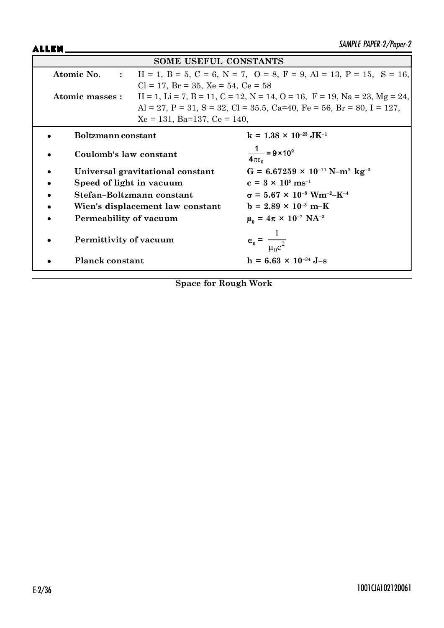ALLEN.

|                          | <b>SOME USEFUL CONSTANTS</b>                  |                                                                                               |
|--------------------------|-----------------------------------------------|-----------------------------------------------------------------------------------------------|
| Atomic No. :             |                                               | $H = 1$ , $B = 5$ , $C = 6$ , $N = 7$ , $O = 8$ , $F = 9$ , $Al = 13$ , $P = 15$ , $S = 16$ , |
|                          | $Cl = 17$ , $Br = 35$ , $Xe = 54$ , $Ce = 58$ |                                                                                               |
| Atomic masses :          |                                               | $H = 1$ , Li = 7, B = 11, C = 12, N = 14, O = 16, F = 19, Na = 23, Mg = 24,                   |
|                          |                                               | Al = 27, P = 31, S = 32, Cl = 35.5, Ca=40, Fe = 56, Br = 80, I = 127,                         |
|                          | $Xe = 131$ , Ba=137, Ce = 140,                |                                                                                               |
| Boltzmann constant       |                                               | $k = 1.38 \times 10^{-23} \text{ J} \text{K}^{-1}$                                            |
| Coulomb's law constant   |                                               | $\frac{1}{4\pi\epsilon_0}$ = 9 × 10 <sup>9</sup>                                              |
|                          | Universal gravitational constant              | $G = 6.67259 \times 10^{-11} \text{ N} - \text{m}^2 \text{ kg}^{-2}$                          |
| Speed of light in vacuum |                                               | $c = 3 \times 10^8 \text{ ms}^{-1}$                                                           |
|                          | Stefan-Boltzmann constant                     | $\sigma = 5.67 \times 10^{-8}$ Wm <sup>-2</sup> -K <sup>-4</sup>                              |
|                          | Wien's displacement law constant              | $b = 2.89 \times 10^{-3} \text{ m-K}$                                                         |
| Permeability of vacuum   |                                               | $\mu_0 = 4\pi \times 10^{-7} \text{ NA}^{-2}$                                                 |
| Permittivity of vacuum   |                                               | $\epsilon_0 = \frac{1}{\mu_0 c^2}$                                                            |
| <b>Planck constant</b>   |                                               | $h = 6.63 \times 10^{-34}$ J-s                                                                |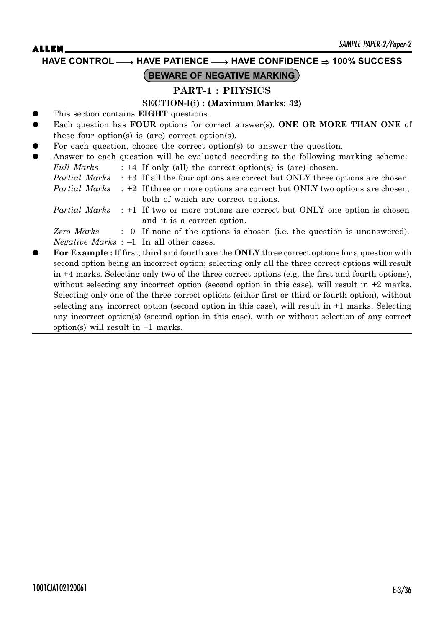**HAVE CONTROL** o **HAVE PATIENCE** o **HAVE CONFIDENCE 100% SUCCESS**

# **BEWARE OF NEGATIVE MARKING**

### **PART-1 : PHYSICS**

### **SECTION-I(i) : (Maximum Marks: 32)**

- This section contains **EIGHT** questions.
- Each question has **FOUR** options for correct answer(s). **ONE OR MORE THAN ONE** of these four option(s) is (are) correct option(s).
- For each question, choose the correct option(s) to answer the question.
- Answer to each question will be evaluated according to the following marking scheme: *Full Marks* : +4 If only (all) the correct option(s) is (are) chosen.
	- *Partial Marks* : +3 If all the four options are correct but ONLY three options are chosen.

*Partial Marks* : +2 If three or more options are correct but ONLY two options are chosen, both of which are correct options.

*Partial Marks* : +1 If two or more options are correct but ONLY one option is chosen and it is a correct option.

*Zero Marks* : 0 If none of the options is chosen (i.e. the question is unanswered). *Negative Marks* : –1 In all other cases.

z **For Example :** If first, third and fourth are the **ONLY** three correct options for a question with second option being an incorrect option; selecting only all the three correct options will result in +4 marks. Selecting only two of the three correct options (e.g. the first and fourth options), without selecting any incorrect option (second option in this case), will result in  $+2$  marks. Selecting only one of the three correct options (either first or third or fourth option), without selecting any incorrect option (second option in this case), will result in +1 marks. Selecting any incorrect option(s) (second option in this case), with or without selection of any correct option(s) will result in  $-1$  marks.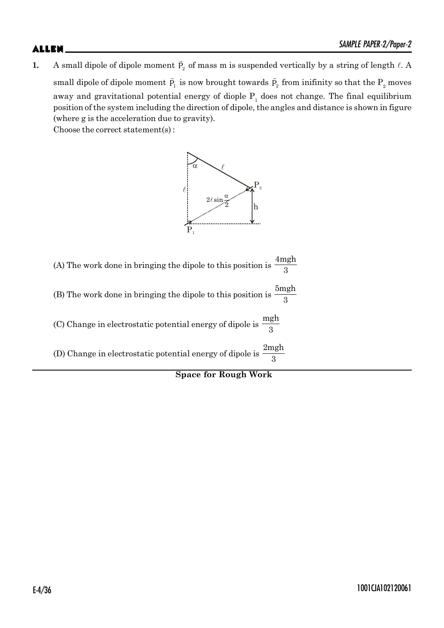**1.** A small dipole of dipole moment  $\vec{P}_2$  of mass m is suspended vertically by a string of length  $\ell$ . A small dipole of dipole moment  $\vec{\bm{\mathsf{P}}}_1$  is now brought towards  $\vec{\bm{\mathsf{P}}}_2$  from inifinity so that the  $\bm{\mathsf{P}}_2$  moves away and gravitational potential energy of diople  $P_1$  does not change. The final equilibrium position of the system including the direction of dipole, the angles and distance is shown in figure (where g is the acceleration due to gravity).

Choose the correct statement(s) :





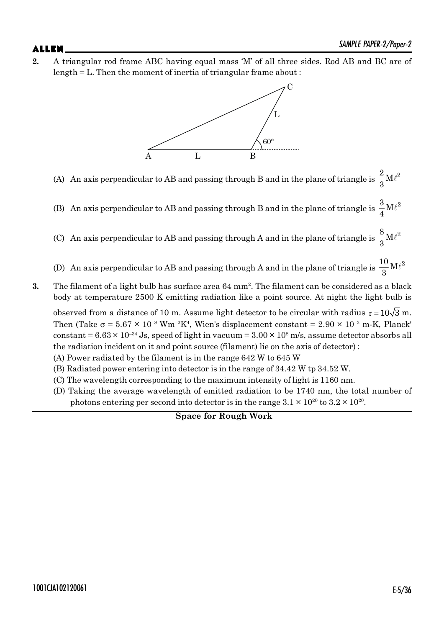**2.** A triangular rod frame ABC having equal mass 'M' of all three sides. Rod AB and BC are of length = L. Then the moment of inertia of triangular frame about :



- (A) An axis perpendicular to AB and passing through B and in the plane of triangle is  $\frac{2}{5}M\ell^2$  $\frac{1}{3}$ M $\ell$
- (B) An axis perpendicular to AB and passing through B and in the plane of triangle is  $\frac{3}{4}$ M $\ell^2$  $\frac{5}{4}$ M $\ell$
- (C) An axis perpendicular to AB and passing through A and in the plane of triangle is  $\frac{8}{9}$ M $\ell^2$  $\frac{5}{3}$ M $\ell$
- (D) An axis perpendicular to AB and passing through A and in the plane of triangle is  $\frac{10}{9}$ M $\ell^2$  $\frac{1}{3}$ M $\ell$
- **3.** The filament of a light bulb has surface area 64 mm<sup>2</sup> . The filament can be considered as a black body at temperature 2500 K emitting radiation like a point source. At night the light bulb is

observed from a distance of 10 m. Assume light detector to be circular with radius  $r = 10\sqrt{3}$  m. Then (Take  $\sigma$  = 5.67  $\times$  10<sup>-8</sup> Wm<sup>-2</sup>K<sup>4</sup>, Wien's displacement constant = 2.90  $\times$  10<sup>-3</sup> m-K, Planck' constant =  $6.63 \times 10^{-34}$  Js, speed of light in vacuum =  $3.00 \times 10^8$  m/s, assume detector absorbs all the radiation incident on it and point source (filament) lie on the axis of detector) :

- (A) Power radiated by the filament is in the range 642 W to 645 W
- (B) Radiated power entering into detector is in the range of 34.42 W tp 34.52 W.
- (C) The wavelength corresponding to the maximum intensity of light is 1160 nm.
- (D) Taking the average wavelength of emitted radiation to be 1740 nm, the total number of photons entering per second into detector is in the range  $3.1 \times 10^{20}$  to  $3.2 \times 10^{20}$ .

**Space for Rough Work**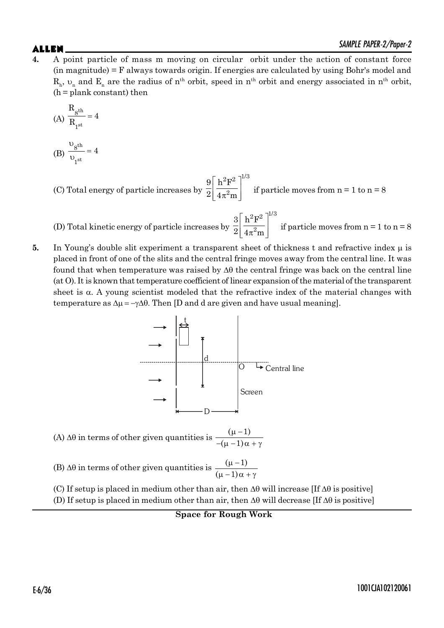# $\mathsf{ALLEN}$   $\blacksquare$

**4.** A point particle of mass m moving on circular orbit under the action of constant force (in magnitude) = F always towards origin. If energies are calculated by using Bohr's model and  $R_h$ ,  $\upsilon_n$  and  $E_n$  are the radius of n<sup>th</sup> orbit, speed in n<sup>th</sup> orbit and energy associated in n<sup>th</sup> orbit,  $(h =$ plank constant) then

$$
(A) \frac{R_{\text{g}^{th}}}{R_{\text{1}^{st}}} = 4
$$

- (B) th st 8 1 4  $\upsilon$  $=$  $\upsilon$
- (C) Total energy of particle increases by  $2\mathbf{F}^2 \; |^{1/3}$ 2  $9|h^2F$  $2\vert\ 4\pi^2$ m  $\mid h^2F^2 \mid''$  $\left[\frac{n}{4\pi^2 m}\right]$  if particle moves from n = 1 to n = 8

(D) Total kinetic energy of particle increases by  $_2$   $\rm R^2$   $\rm l^{1/3}$ 2  $3\vert h^2F$  $2\vert\ 4\pi^2$ m  $\mid h^2F^2 \mid^{\omega}$  $\left[\frac{n+1}{4\pi^2m}\right]$  if particle moves from n = 1 to n = 8

**5.** In Young's double slit experiment a transparent sheet of thickness t and refractive index  $\mu$  is placed in front of one of the slits and the central fringe moves away from the central line. It was found that when temperature was raised by  $\Delta\theta$  the central fringe was back on the central line (at O). It is known that temperature coefficient of linear expansion of the material of the transparent sheet is  $\alpha$ . A young scientist modeled that the refractive index of the material changes with temperature as  $\Delta \mu = -\gamma \Delta \theta$ . Then [D and d are given and have usual meaning].



(A)  $\Delta\theta$  in terms of other given quantities is  $\frac{(\mu - 1)}{-(\mu - 1)\alpha}$  $\mu - 1$  $-(\mu - 1)\alpha + \gamma$ 

(B)  $\Delta\theta$  in terms of other given quantities is  $\frac{(\mu-1)}{(\mu-1)}$  $(\mu - 1)$  $\mu - 1$  $\mu - 1\alpha + \gamma$ 

(C) If setup is placed in medium other than air, then  $\Delta\theta$  will increase [If  $\Delta\theta$  is positive] (D) If setup is placed in medium other than air, then  $\Delta\theta$  will decrease [If  $\Delta\theta$  is positive]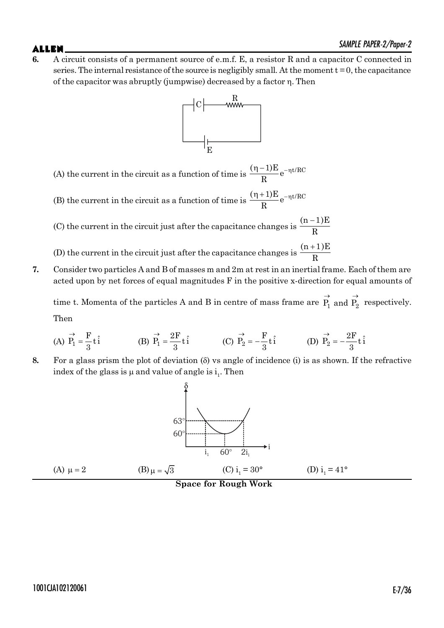**6.** A circuit consists of a permanent source of e.m.f. E, a resistor R and a capacitor C connected in series. The internal resistance of the source is negligibly small. At the moment  $t = 0$ , the capacitance of the capacitor was abruptly (jumpwise) decreased by a factor  $\eta$ . Then



(A) the current in the circuit as a function of time is  $\frac{(\eta-1)E}{D}e^{-\eta t/RC}$ R  $(\eta - 1)E_{\Omega}$ 

(B) the current in the circuit as a function of time is  $\frac{(\eta+1)E}{D}e^{-\eta t/RC}$ R  $(\eta + 1)E_{\Omega}$ <sup>- $\eta$ </sup>

(C) the current in the circuit just after the capacitance changes is  $(n-1)E$ R  $\overline{a}$ 

(D) the current in the circuit just after the capacitance changes is  $(n+1)E$ R  $^{+}$ 

**7.** Consider two particles A and B of masses m and 2m at rest in an inertial frame. Each of them are acted upon by net forces of equal magnitudes F in the positive x-direction for equal amounts of

time t. Momenta of the particles A and B in centre of mass frame are  $\overrightarrow{P_1}$  and  $\overrightarrow{P_2}$  respectively. Then

(A) 
$$
\vec{P}_1 = \frac{F}{3} t \hat{i}
$$
 (B)  $\vec{P}_1 = \frac{2F}{3} t \hat{i}$  (C)  $\vec{P}_2 = -\frac{F}{3} t \hat{i}$  (D)  $\vec{P}_2 = -\frac{2F}{3} t \hat{i}$ 

**8.** For a glass prism the plot of deviation (G) vs angle of incidence (i) is as shown. If the refractive index of the glass is  $\mu$  and value of angle is  $i_1$ . Then

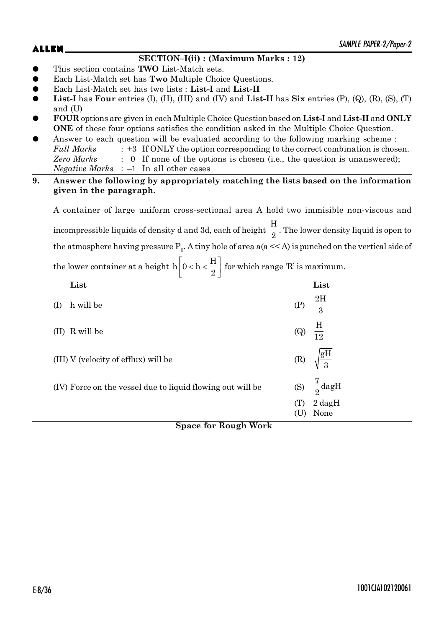# **SECTION–I(ii) : (Maximum Marks : 12)**

- z This section contains **TWO** List-Match sets.
- Each List-Match set has **Two** Multiple Choice Questions.
- z Each List-Match set has two lists : **List-I** and **List-II**
- **List-I** has **Four** entries (I), (II), (III) and (IV) and **List-II** has  $\textbf{Six}$  entries (P), (Q), (R), (S), (T) and (U)
- z **FOUR** options are given in each Multiple Choice Question based on **List-I** and **List-II** and **ONLY ONE** of these four options satisfies the condition asked in the Multiple Choice Question.
- Answer to each question will be evaluated according to the following marking scheme : Full Marks : +3 If ONLY the option corresponding to the correct combination is chosen. *Zero Marks* : 0 If none of the options is chosen (i.e., the question is unanswered); *Negative Marks* : –1 In all other cases
- **9. Answer the following by appropriately matching the lists based on the information given in the paragraph.**

A container of large uniform cross-sectional area A hold two immisible non-viscous and incompressible liquids of density d and 3d, each of height H  $\frac{1}{2}$ . The lower density liquid is open to the atmosphere having pressure  $P_0$ . A tiny hole of area a(a << A) is punched on the vertical side of the lower container at a height  $h\left[0 < h < \frac{H}{2}\right]$ 2 for which range 'R' is maximum.

|     | List                                                       |                            | List                         |
|-----|------------------------------------------------------------|----------------------------|------------------------------|
| (1) | h will be                                                  | (P)                        | $\frac{2H}{3}$               |
|     | (II) R will be                                             | $\left( Q\right)$          | $\frac{H}{12}$               |
|     | (III) V (velocity of efflux) will be                       | $\left( \mathrm{R}\right)$ | $\sqrt{\frac{\text{gH}}{3}}$ |
|     | (IV) Force on the vessel due to liquid flowing out will be | (S)                        | $\frac{7}{2}$ dagH           |
|     |                                                            | (T)                        | $2 \text{ dagH}$<br>None     |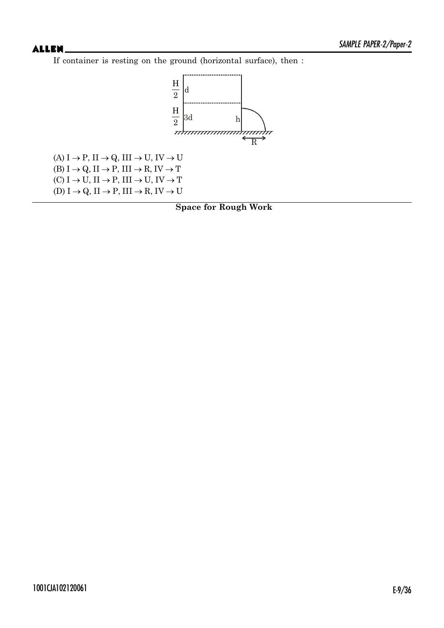If container is resting on the ground (horizontal surface), then :



 $(A) I \rightarrow P$ ,  $II \rightarrow Q$ ,  $III \rightarrow U$ ,  $IV \rightarrow U$ (B)  $I \rightarrow Q$ ,  $II \rightarrow P$ ,  $III \rightarrow R$ ,  $IV \rightarrow T$  $(C) I \rightarrow U$ ,  $II \rightarrow P$ ,  $III \rightarrow U$ ,  $IV \rightarrow T$  $(D) I \rightarrow Q$ ,  $II \rightarrow P$ ,  $III \rightarrow R$ ,  $IV \rightarrow U$ 

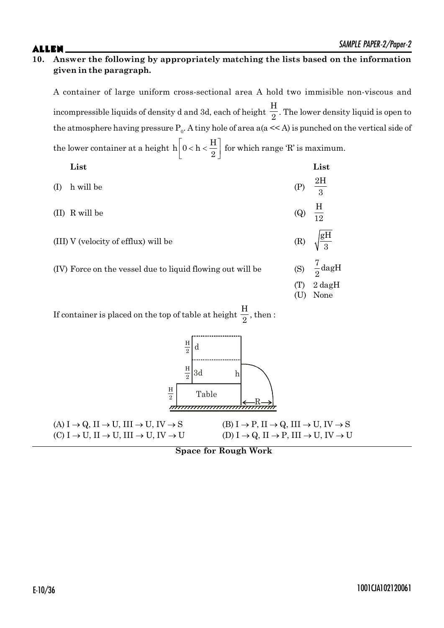A container of large uniform cross-sectional area A hold two immisible non-viscous and incompressible liquids of density d and 3d, each of height H  $\frac{1}{2}$ . The lower density liquid is open to the atmosphere having pressure  $P_0$ . A tiny hole of area a(a << A) is punched on the vertical side of the lower container at a height  $h\left[0 < h < \frac{H}{2}\right]$ for which range 'R' is maximum.

| the following container at a neighborhood $\begin{bmatrix} 0 & 0 & 0 \\ 0 & 0 & 0 \end{bmatrix}$ for which range it is measured |     |                    |
|---------------------------------------------------------------------------------------------------------------------------------|-----|--------------------|
| List                                                                                                                            |     | List               |
| (I) h will be                                                                                                                   |     | (P) $\frac{2H}{3}$ |
| (II) R will be                                                                                                                  | (Q) | $\frac{H}{10}$     |

- $(III)$  V (velocity of efflux) will be
- (IV) Force on the vessel due to liquid flowing out will be

| $\mathcal{L}$  | 12                           |
|----------------|------------------------------|
| (R)            | $\sqrt{\frac{\text{gH}}{3}}$ |
| (S)            | $\frac{7}{2}$ dagH           |
| $(\mathrm{T})$ | $2 \text{ dagH}$             |
| (U)            | None                         |

If container is placed on the top of table at height H  $\frac{1}{2}$ , then :



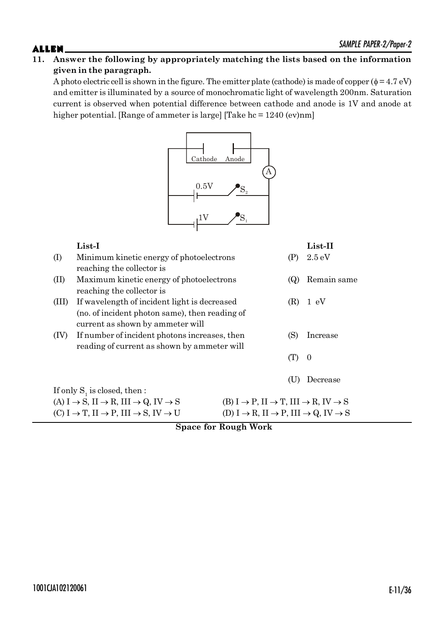A photo electric cell is shown in the figure. The emitter plate (cathode) is made of copper  $(\phi = 4.7 \text{ eV})$ and emitter is illuminated by a source of monochromatic light of wavelength 200nm. Saturation current is observed when potential difference between cathode and anode is 1V and anode at higher potential. [Range of ammeter is large] [Take hc = 1240 (ev)nm]



|       | List-I                                                                                |                                                                                       |     | $List-II$        |
|-------|---------------------------------------------------------------------------------------|---------------------------------------------------------------------------------------|-----|------------------|
| (I)   | Minimum kinetic energy of photoelectrons                                              |                                                                                       | (P) | $2.5 \text{ eV}$ |
|       | reaching the collector is                                                             |                                                                                       |     |                  |
| (II)  | Maximum kinetic energy of photoelectrons                                              |                                                                                       | (Q) | Remain same      |
|       | reaching the collector is                                                             |                                                                                       |     |                  |
| (III) | If wavelength of incident light is decreased                                          |                                                                                       | (R) | 1 eV             |
|       | (no. of incident photon same), then reading of                                        |                                                                                       |     |                  |
|       | current as shown by ammeter will                                                      |                                                                                       |     |                  |
| (IV)  | If number of incident photons increases, then                                         |                                                                                       | (S) | Increase         |
|       | reading of current as shown by ammeter will                                           |                                                                                       |     |                  |
|       |                                                                                       |                                                                                       | (T) | $\theta$         |
|       |                                                                                       |                                                                                       |     |                  |
|       |                                                                                       |                                                                                       | (U  | Decrease         |
|       | If only $S_i$ is closed, then :                                                       |                                                                                       |     |                  |
|       | $(A) I \rightarrow S$ , $II \rightarrow R$ , $III \rightarrow Q$ , $IV \rightarrow S$ | $(B) I \rightarrow P, II \rightarrow T, III \rightarrow R, IV \rightarrow S$          |     |                  |
|       | $(C) I \rightarrow T$ , $II \rightarrow P$ , $III \rightarrow S$ , $IV \rightarrow U$ | (D) $I \rightarrow R$ , $II \rightarrow P$ , $III \rightarrow Q$ , $IV \rightarrow S$ |     |                  |
|       | $\sim$<br><sub>c</sub>                                                                | $\mathbf{n}$ $\mathbf{1}$ $\mathbf{W}$ $\mathbf{1}$                                   |     |                  |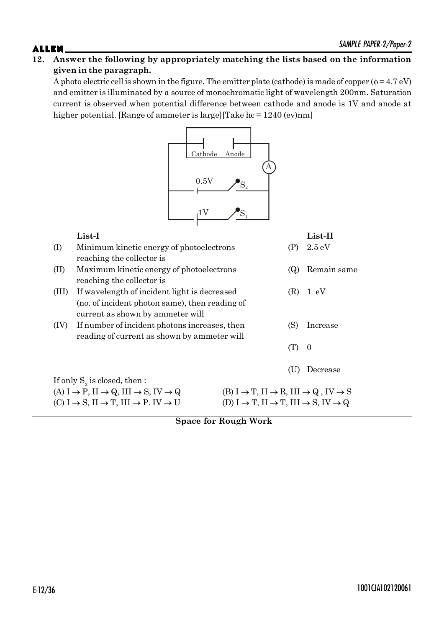A photo electric cell is shown in the figure. The emitter plate (cathode) is made of copper  $(\phi = 4.7 \text{ eV})$ and emitter is illuminated by a source of monochromatic light of wavelength 200nm. Saturation current is observed when potential difference between cathode and anode is 1V and anode at higher potential. [Range of ammeter is large][Take hc = 1240 (ev)nm]



# **List-I List-II** (I) Minimum kinetic energy of photoelectrons (P) 2.5 eV reaching the collector is (II) Maximum kinetic energy of photoelectrons (Q) Remain same reaching the collector is (III) If wavelength of incident light is decreased (R) 1 eV (no. of incident photon same), then reading of current as shown by ammeter will (IV) If number of incident photons increases, then (S) Increase reading of current as shown by ammeter will  $(T)$  0 (U) Decrease If only  $\mathrm{S}_2$  is closed, then : (A)  $I \rightarrow P$ ,  $II \rightarrow Q$ ,  $III \rightarrow S$ ,  $IV \rightarrow Q$  (B)  $I \rightarrow T$ ,  $II \rightarrow R$ ,  $III \rightarrow Q$ ,  $IV \rightarrow S$  $(C) I \rightarrow S$ ,  $II \rightarrow T$ ,  $III \rightarrow P$ .  $IV \rightarrow U$   $(D) I \rightarrow T$ ,  $II \rightarrow T$ ,  $III \rightarrow S$ ,  $IV \rightarrow Q$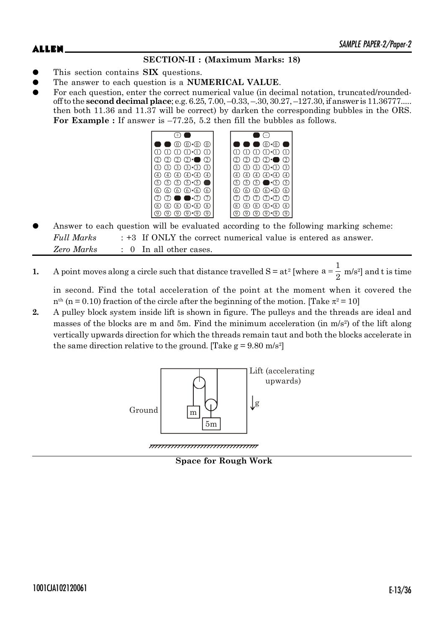# **SECTION-II : (Maximum Marks: 18)**

- This section contains **SIX** questions.
- The answer to each question is a **NUMERICAL VALUE**.
- For each question, enter the correct numerical value (in decimal notation, truncated/roundedoff to the **second decimal place**; e.g. 6.25, 7.00, –0.33, –.30, 30.27, –127.30, if answer is 11.36777..... then both 11.36 and 11.37 will be correct) by darken the corresponding bubbles in the ORS. For Example : If answer is  $-77.25$ , 5.2 then fill the bubbles as follows.



- Answer to each question will be evaluated according to the following marking scheme: *Full Marks* : +3 If ONLY the correct numerical value is entered as answer. *Zero Marks* : 0 In all other cases.
- **1.** A point moves along a circle such that distance travelled  $S = at^2$  [where  $a=\frac{1}{2}$  $\frac{1}{2}$  m/s<sup>2</sup>] and t is time

in second. Find the total acceleration of the point at the moment when it covered the  $n<sup>th</sup>$  (n = 0.10) fraction of the circle after the beginning of the motion. [Take  $\pi^2 = 10$ ]

**2.** A pulley block system inside lift is shown in figure. The pulleys and the threads are ideal and masses of the blocks are m and 5m. Find the minimum acceleration (in m/s<sup>2</sup>) of the lift along vertically upwards direction for which the threads remain taut and both the blocks accelerate in the same direction relative to the ground. [Take  $g = 9.80$  m/s<sup>2</sup>]



**Space for Rough Work**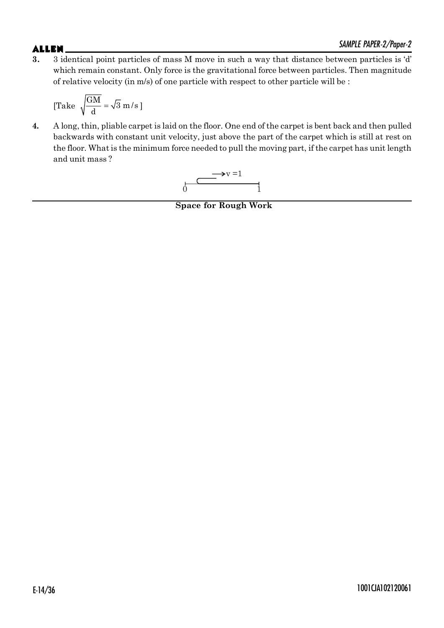# SAMPLE PAPER-2/Paper-2

**3.** 3 identical point particles of mass M move in such a way that distance between particles is 'd' which remain constant. Only force is the gravitational force between particles. Then magnitude of relative velocity (in m/s) of one particle with respect to other particle will be :

[Take 
$$
\sqrt{\frac{GM}{d}} = \sqrt{3} m/s
$$
]

**4.** A long, thin, pliable carpet is laid on the floor. One end of the carpet is bent back and then pulled backwards with constant unit velocity, just above the part of the carpet which is still at rest on the floor. What is the minimum force needed to pull the moving part, if the carpet has unit length and unit mass ?

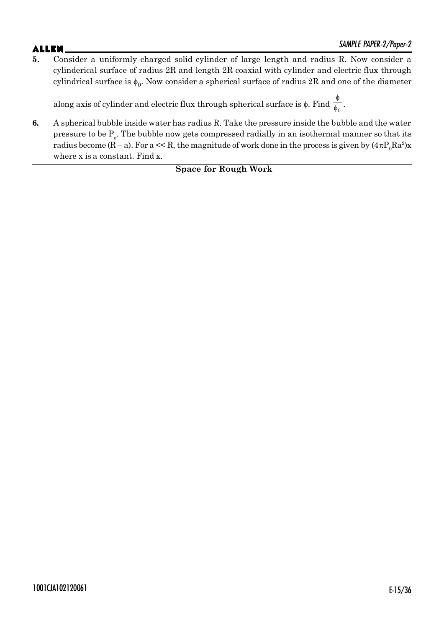**5.** Consider a uniformly charged solid cylinder of large length and radius R. Now consider a cylinderical surface of radius 2R and length 2R coaxial with cylinder and electric flux through cylindrical surface is  $\phi_0$ . Now consider a spherical surface of radius 2R and one of the diameter

along axis of cylinder and electric flux through spherical surface is  $\phi$ . Find  $\frac{1}{\phi_0}$  $\phi$  $\frac{1}{\phi_0}$ .

**6.** A spherical bubble inside water has radius R. Take the pressure inside the bubble and the water pressure to be  $\mathrm{P_{\circ}}.$  The bubble now gets compressed radially in an isothermal manner so that its radius become (R – a). For a  $<<$  R, the magnitude of work done in the process is given by  $(4\,\pi P_{0}Ra^{2})x$ where x is a constant. Find x.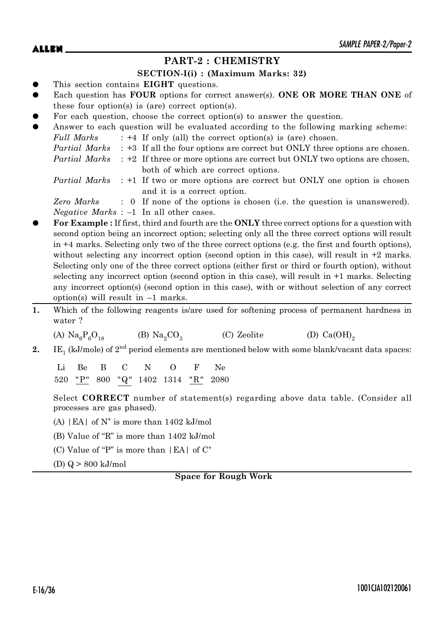# **PART-2 : CHEMISTRY**

### **SECTION-I(i) : (Maximum Marks: 32)**

- This section contains **EIGHT** questions.
- Each question has **FOUR** options for correct answer(s). **ONE OR MORE THAN ONE** of these four option(s) is (are) correct option(s).
- For each question, choose the correct option(s) to answer the question.

| $\bullet$ |            | Answer to each question will be evaluated according to the following marking scheme:             |
|-----------|------------|--------------------------------------------------------------------------------------------------|
|           | Full Marks | $: +4$ If only (all) the correct option(s) is (are) chosen.                                      |
|           |            | <i>Partial Marks</i> : +3 If all the four options are correct but ONLY three options are chosen. |
|           |            | <i>Partial Marks</i> : +2 If three or more options are correct but ONLY two options are chosen,  |
|           |            | both of which are correct options.                                                               |
|           |            | <i>Partial Marks</i> : +1 If two or more options are correct but ONLY one option is chosen       |

and it is a correct option.

*Zero Marks* : 0 If none of the options is chosen (i.e. the question is unanswered). *Negative Marks* : –1 In all other cases.

- z **For Example :** If first, third and fourth are the **ONLY** three correct options for a question with second option being an incorrect option; selecting only all the three correct options will result in +4 marks. Selecting only two of the three correct options (e.g. the first and fourth options), without selecting any incorrect option (second option in this case), will result in  $+2$  marks. Selecting only one of the three correct options (either first or third or fourth option), without selecting any incorrect option (second option in this case), will result in +1 marks. Selecting any incorrect option(s) (second option in this case), with or without selection of any correct option(s) will result in  $-1$  marks.
- **1.** Which of the following reagents is/are used for softening process of permanent hardness in water ?

(A)  $\text{Na}_6\text{P}_6\text{O}_{18}$  (B)  $\text{Na}_2\text{CO}_3$ (C) Zeolite (D)  $Ca(OH)_{2}$ 

**2.** IE<sub>1</sub> (kJ/mole) of  $2^{\text{nd}}$  period elements are mentioned below with some blank/vacant data spaces:

Li Be B C N O F Ne 520 "P" 800 "Q" 1402 1314 "R" 2080

Select **CORRECT** number of statement(s) regarding above data table. (Consider all processes are gas phased).

- (A)  $|EA|$  of  $N^+$  is more than 1402 kJ/mol
- (B) Value of "R" is more than 1402 kJ/mol
- (C) Value of "P" is more than  $|EA|$  of  $C^+$
- (D) Q > 800 kJ/mol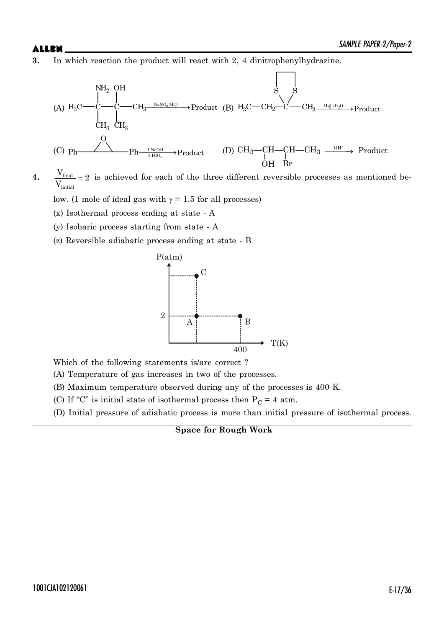**3.** In which reaction the product will react with 2, 4 dinitrophenylhydrazine.



 $4.$   $\frac{v_{\text{final}}}{\sqrt{2}}$ initial  $\frac{V_{\text{final}}}{V} = 2$ V  $= 2$  is achieved for each of the three different reversible processes as mentioned be-

low. (1 mole of ideal gas with  $\gamma = 1.5$  for all processes)

- (x) Isothermal process ending at state A
- (y) Isobaric process starting from state A
- (z) Reversible adiabatic process ending at state B



Which of the following statements is/are correct ?

(A) Temperature of gas increases in two of the processes.

(B) Maximum temperature observed during any of the processes is 400 K.

- (C) If "C" is initial state of isothermal process then  $P_C = 4$  atm.
- (D) Initial pressure of adiabatic process is more than initial pressure of isothermal process.

**Space for Rough Work**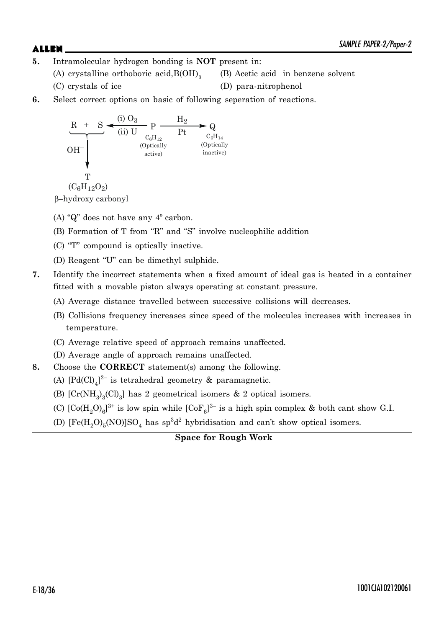- **5.** Intramolecular hydrogen bonding is **NOT** present in:
	- (A) crystalline orthoboric acid,  $B(OH)_{3}$ 
		- (C) crystals of ice (D) para-nitrophenol

(B) Acetic acid in benzene solvent

**6.** Select correct options on basic of following seperation of reactions.



E–hydroxy carbonyl

- (A) "Q" does not have any 4º carbon.
- (B) Formation of T from "R" and "S" involve nucleophilic addition
- (C) "T" compound is optically inactive.
- (D) Reagent "U" can be dimethyl sulphide.
- **7.** Identify the incorrect statements when a fixed amount of ideal gas is heated in a container fitted with a movable piston always operating at constant pressure.
	- (A) Average distance travelled between successive collisions will decreases.
	- (B) Collisions frequency increases since speed of the molecules increases with increases in temperature.
	- (C) Average relative speed of approach remains unaffected.
	- (D) Average angle of approach remains unaffected.
- **8.** Choose the **CORRECT** statement(s) among the following.
	- (A)  $[Pd(Cl)]_4^{2-}$  is tetrahedral geometry & paramagnetic.
	- (B)  $[Cr(NH<sub>3</sub>)<sub>3</sub>(Cl)<sub>3</sub>]$  has 2 geometrical isomers & 2 optical isomers.
	- (C)  $\text{[Co(H<sub>2</sub>O)<sub>6</sub>]}^{3+}$  is low spin while  $\text{[CoF<sub>6</sub>]}^{3-}$  is a high spin complex & both cant show G.I.
	- (D)  $[Fe(H<sub>2</sub>O)<sub>5</sub>(NO)]SO<sub>4</sub>$  has  $sp<sup>3</sup>d<sup>2</sup>$  hybridisation and can't show optical isomers.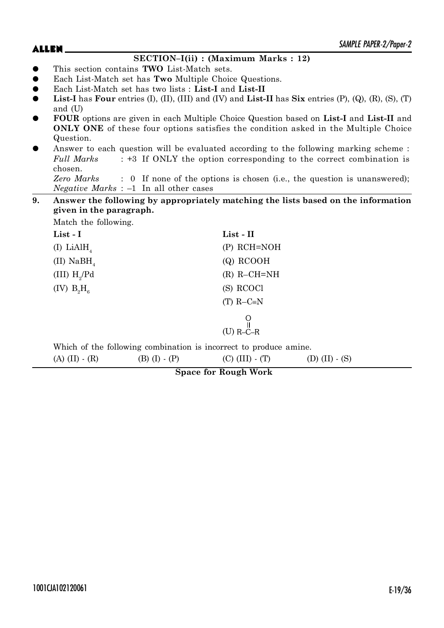### $\blacktriangle LLEN$   $\blacktriangle$ **SECTION–I(ii) : (Maximum Marks : 12)** z This section contains **TWO** List-Match sets. z Each List-Match set has **Two** Multiple Choice Questions. z Each List-Match set has two lists : **List-I** and **List-II List-I** has **Four** entries  $(I)$ ,  $(II)$ ,  $(III)$  and  $(IV)$  and  $List-II$  has  $Six$  entries  $(P)$ ,  $(Q)$ ,  $(R)$ ,  $(S)$ ,  $(T)$ and (U) z **FOUR** options are given in each Multiple Choice Question based on **List-I** and **List-II** and **ONLY ONE** of these four options satisfies the condition asked in the Multiple Choice

Question. Answer to each question will be evaluated according to the following marking scheme : *Full Marks* : +3 If ONLY the option corresponding to the correct combination is chosen.

*Zero Marks* : 0 If none of the options is chosen (i.e., the question is unanswered); *Negative Marks* : –1 In all other cases

# **9. Answer the following by appropriately matching the lists based on the information given in the paragraph.**

| Match the following.   |                 |
|------------------------|-----------------|
| $List - I$             | List - II       |
| (I) LiAlH <sub>4</sub> | $(P)$ RCH=NOH   |
| (II) NaBH              | $(Q)$ RCOOH     |
| (III) $H_{\gamma}$ /Pd | $(R)$ R-CH=NH   |
| (IV) $B_9H_a$          | (S) RCOCl       |
|                        | (T) $R-C=N$     |
|                        | $R$ – $C$ – $R$ |

Which of the following combination is incorrect to produce amine.

(A) (II) - (R) (B) (I) - (P) (C) (III) - (T) (D) (II) - (S)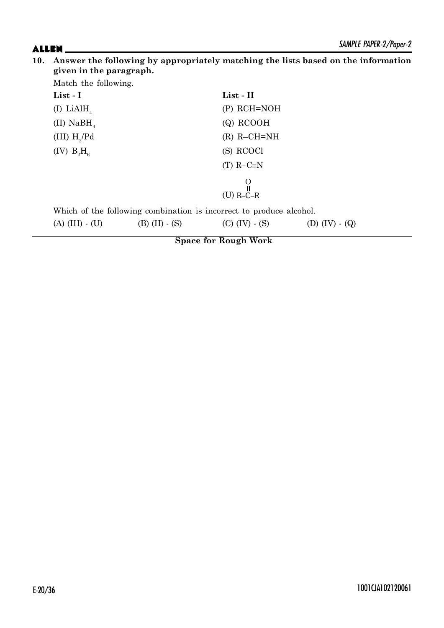| Match the following.    |                        |                                                                     |                  |
|-------------------------|------------------------|---------------------------------------------------------------------|------------------|
| List - I                |                        | $List - II$                                                         |                  |
| (I) LiAlH <sub>4</sub>  |                        | $(P)$ RCH=NOH                                                       |                  |
| (II) NaBH               |                        | $(Q)$ RCOOH                                                         |                  |
| (III) $H_{\gamma}$ /Pd  |                        | $(R)$ R-CH=NH                                                       |                  |
| (IV) $B_2H_6$           |                        | (S) RCOCl                                                           |                  |
|                         |                        | $(T)$ R-C=N                                                         |                  |
|                         |                        |                                                                     |                  |
|                         |                        | $(U)$ R-C-R                                                         |                  |
|                         |                        | Which of the following combination is incorrect to produce alcohol. |                  |
| $(A)$ (III) $\cdot$ (U) | $(B)$ (II) $\cdot$ (S) | $(C)$ (IV) $\cdot$ (S)                                              | (D) $(IV) - (Q)$ |
|                         |                        | <b>Space for Rough Work</b>                                         |                  |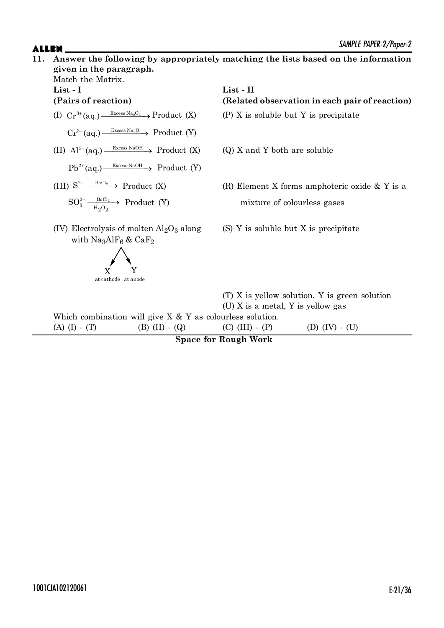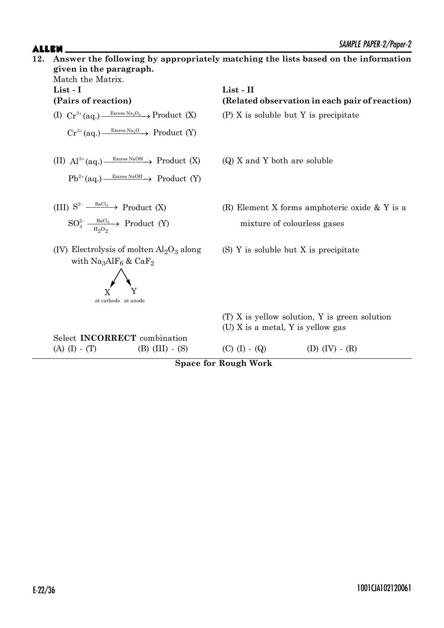

**Space for Rough Work**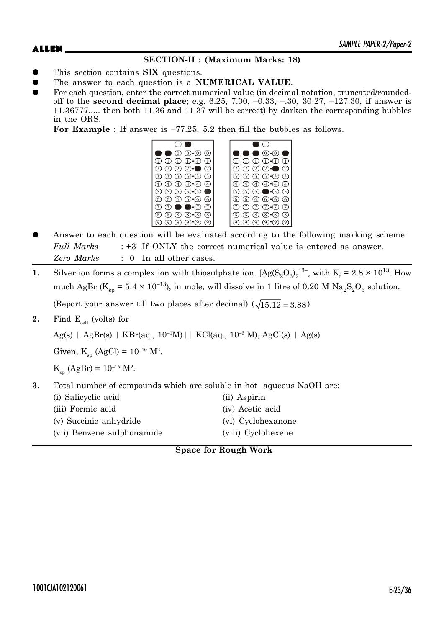# **SECTION-II : (Maximum Marks: 18)**

- This section contains **SIX** questions.
- The answer to each question is a **NUMERICAL VALUE**.
- For each question, enter the correct numerical value (in decimal notation, truncated/roundedoff to the **second decimal place**; e.g. 6.25, 7.00, –0.33, –.30, 30.27, –127.30, if answer is 11.36777..... then both 11.36 and 11.37 will be correct) by darken the corresponding bubbles in the ORS.

**For Example :** If answer is –77.25, 5.2 then fill the bubbles as follows.



- Answer to each question will be evaluated according to the following marking scheme: *Full Marks* : +3 If ONLY the correct numerical value is entered as answer. *Zero Marks* : 0 In all other cases.
- **1.** Silver ion forms a complex ion with thiosulphate ion.  $[Ag(S_2O_3)_2]^3$ , with  $K_f = 2.8 \times 10^{13}$ . How much AgBr ( $K_{sp} = 5.4 \times 10^{-13}$ ), in mole, will dissolve in 1 litre of 0.20 M  $Na_2S_2O_3$  solution. (Report your answer till two places after decimal)  $(\sqrt{15.12} = 3.88)$
- **2.** Find  $E_{cell}$  (volts) for

 $Ag(s)$  | AgBr(s) | KBr(aq., 10<sup>-1</sup>M)|| KCl(aq., 10<sup>-6</sup> M), AgCl(s) | Ag(s)

Given,  $K_{sp}$  (AgCl) =  $10^{-10}$  M<sup>2</sup>.

 $K_{sp}$  (AgBr) = 10<sup>-15</sup> M<sup>2</sup>.

**3.** Total number of compounds which are soluble in hot aqueous NaOH are:

| (i) Salicyclic acid        | (ii) Aspirin       |
|----------------------------|--------------------|
| (iii) Formic acid          | (iv) Acetic acid   |
| (v) Succinic anhydride     | (vi) Cyclohexanone |
| (vii) Benzene sulphonamide | (viii) Cyclohexene |

**Space for Rough Work**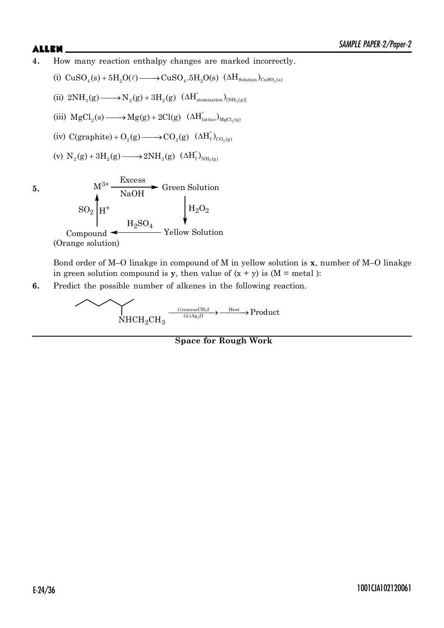**4.** How many reaction enthalpy changes are marked incorrectly.

$$
(i)\;\; CuSO_4(s) + 5H_2O(\ell) \longrightarrow CuSO_4.5H_2O(s)\;\; (\Delta H_{\text{Solution}})_{\text{CuSO}_4(s)}
$$

(ii) 
$$
2NH_3(g) \longrightarrow N_2(g) + 3H_2(g) \left(\Delta H_{\text{atomisation}}^{\circ}\right)_{[NH_3(g)]}
$$

- (iii)  $MgCl_2(s) \longrightarrow Mg(g) + 2Cl(g)$   $(\Delta H_{\text{lattice}}^{\circ})_{MgCl_2(g)}$
- (iv)  $C(graphite) + O_2(g) \longrightarrow CO_2(g)$   $( \Delta H_f^{\circ})_{CO_2(g)}$

(v) 
$$
N_2(g) + 3H_2(g) \longrightarrow 2NH_3(g) \left(\Delta H_f^{\circ}\right)_{NH_3(g)}
$$

**5.**  $M^{3+} \frac{\text{Excess}}{\text{NaOH}}$ Green Solution  $_{\mathrm{H_2O_2}}$ Yellow Solution  $_{\rm H_2SO_4}$ Compound <  $SO_2$   $H^+$ 

(Orange solution)

Bond order of M–O linakge in compound of M in yellow solution is **x**, number of M–O linakge in green solution compound is **y**, then value of  $(x + y)$  is  $(M = \text{metal})$ :

**6.** Predict the possible number of alkenes in the following reaction.

$$
\overbrace{\mathrm{NHCH_2CH_3}}^{\text{(i)excessCH}_3}\xrightarrow{\text{(ii)Ag}_2\text{O}}^{\text{Heat}}\xrightarrow{\text{Heat}}\text{Product}
$$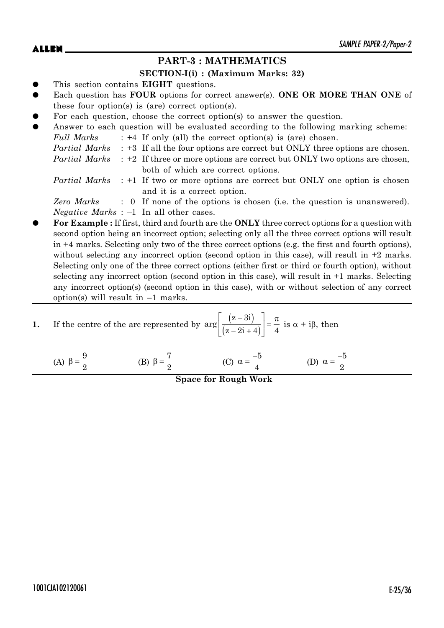# **PART-3 : MATHEMATICS**

### **SECTION-I(i) : (Maximum Marks: 32)**

- This section contains **EIGHT** questions.
- Each question has **FOUR** options for correct answer(s). ONE OR MORE THAN ONE of these four option(s) is (are) correct option(s).
- For each question, choose the correct option(s) to answer the question.
- Answer to each question will be evaluated according to the following marking scheme: *Full Marks* : +4 If only (all) the correct option(s) is (are) chosen. *Partial Marks* : +3 If all the four options are correct but ONLY three options are chosen. *Partial Marks* : +2 If three or more options are correct but ONLY two options are chosen, both of which are correct options. *Partial Marks* : +1 If two or more options are correct but ONLY one option is chosen
	- and it is a correct option.

*Zero Marks* : 0 If none of the options is chosen (i.e. the question is unanswered). *Negative Marks* : –1 In all other cases.

z **For Example :** If first, third and fourth are the **ONLY** three correct options for a question with second option being an incorrect option; selecting only all the three correct options will result in +4 marks. Selecting only two of the three correct options (e.g. the first and fourth options), without selecting any incorrect option (second option in this case), will result in  $+2$  marks. Selecting only one of the three correct options (either first or third or fourth option), without selecting any incorrect option (second option in this case), will result in +1 marks. Selecting any incorrect option(s) (second option in this case), with or without selection of any correct option(s) will result in  $-1$  marks.

1. If the centre of the arc represented by 
$$
\arg \left[ \frac{(z-3i)}{(z-2i+4)} \right] = \frac{\pi}{4}
$$
 is  $\alpha + i\beta$ , then

(A) 9  $\beta = \frac{6}{2}$  (B) 7  $\beta = \frac{7}{2}$  (C)  $\alpha = \frac{-5}{4}$ 4  $\alpha = \frac{-5}{4}$  (D) 5 2  $\alpha = \frac{-}{2}$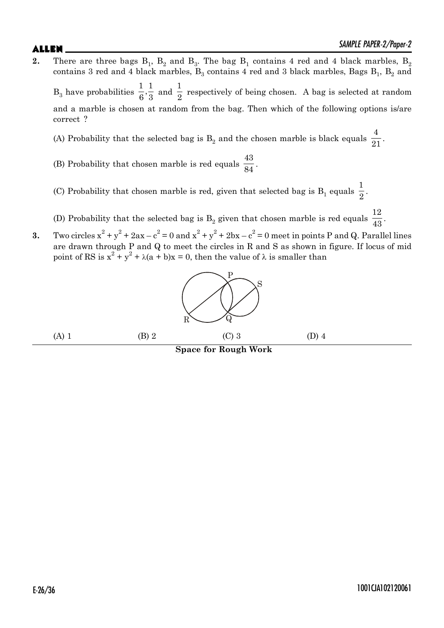- **2.** There are three bags  $B_1$ ,  $B_2$  and  $B_3$ . The bag  $B_1$  contains 4 red and 4 black marbles,  $B_2$ contains 3 red and 4 black marbles,  $\mathrm{B}_3$  contains 4 red and 3 black marbles, Bags  $\mathrm{B}_1^{},\,\mathrm{B}_2^{}$  and  $B_3$  have probabilities  $\frac{1}{6}, \frac{1}{3}$  and 1  $\frac{1}{2}$  respectively of being chosen. A bag is selected at random and a marble is chosen at random from the bag. Then which of the following options is/are correct ?
	- (A) Probability that the selected bag is  $B_2$  and the chosen marble is black equals 4  $\frac{1}{21}$ .
	- (B) Probability that chosen marble is red equals 43  $\frac{1}{84}$ .
	- (C) Probability that chosen marble is red, given that selected bag is  $B_1$  equals 1  $\frac{1}{2}$ .
	- (D) Probability that the selected bag is  $B_2$  given that chosen marble is red equals 12  $\frac{1}{43}$ .
- **3.** Two circles  $x^2 + y^2 + 2ax c^2 = 0$  and  $x^2 + y^2 + 2bx c^2 = 0$  meet in points P and Q. Parallel lines are drawn through P and Q to meet the circles in R and S as shown in figure. If locus of mid point of RS is  $x^2 + y^2 + \lambda(a + b)x = 0$ , then the value of  $\lambda$  is smaller than

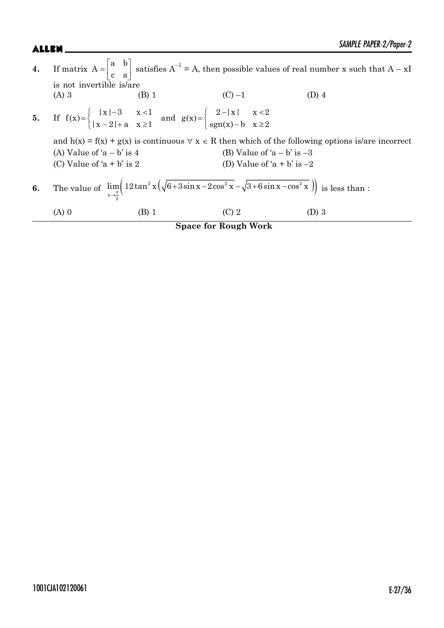|    |                                                        |                                                                                                                                                                  | <b>Space for Rough Work</b>                                    |                                                                                                                                                |
|----|--------------------------------------------------------|------------------------------------------------------------------------------------------------------------------------------------------------------------------|----------------------------------------------------------------|------------------------------------------------------------------------------------------------------------------------------------------------|
|    | $(A)$ 0                                                | (B) 1                                                                                                                                                            | $(C)$ 2                                                        | (D) 3                                                                                                                                          |
| 6. |                                                        | The value of $\lim_{x\to\pm} \left(12\tan^2 x \left(\sqrt{6+3\sin x-2\cos^2 x}-\sqrt{3+6\sin x-\cos^2 x}\right)\right)$ is less than :                           |                                                                |                                                                                                                                                |
|    | (A) Value of $a - b$ is 4<br>(C) Value of $a + b$ is 2 |                                                                                                                                                                  | (B) Value of 'a $-$ b' is $-3$<br>(D) Value of 'a + b' is $-2$ | and $h(x) = f(x) + g(x)$ is continuous $\forall x \in R$ then which of the following options is/are incorrect                                  |
|    |                                                        | 5. If $f(x) = \begin{cases}  x  - 3 & x < 1 \\  x - 2  + a & x \ge 1 \end{cases}$ and $g(x) = \begin{cases} 2 -  x  & x < 2 \\ sgn(x) - b & x \ge 2 \end{cases}$ |                                                                |                                                                                                                                                |
|    | is not invertible is/are<br>$(A)$ 3                    | $(B)$ 1                                                                                                                                                          | $(C) -1$                                                       | (D) 4                                                                                                                                          |
| 4. |                                                        |                                                                                                                                                                  |                                                                | If matrix $A = \begin{bmatrix} a & b \\ c & a \end{bmatrix}$ satisfies $A^{-1} = A$ , then possible values of real number x such that $A - xI$ |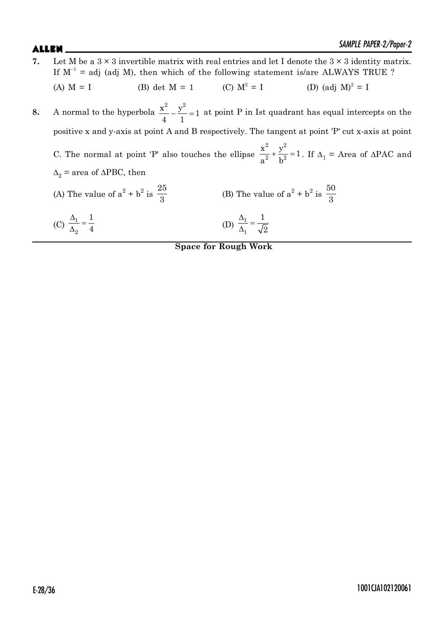**7.** Let M be a  $3 \times 3$  invertible matrix with real entries and let I denote the  $3 \times 3$  identity matrix. If  $M^{-1}$  = adj (adj M), then which of the following statement is/are ALWAYS TRUE ? (A)  $M = I$  (B) det  $M = 1$  (C)  $M^2 = I$  $= I$  (D) (adj  $M)^2 = I$ **8.** A normal to the hyperbola  $\frac{x^2}{4} - \frac{y^2}{4} = 1$ 4 1 at point P in Ist quadrant has equal intercepts on the positive x and y-axis at point A and B respectively. The tangent at point 'P' cut x-axis at point C. The normal at point 'P' also touches the ellipse  $\frac{1}{2} + \frac{y}{1^2} = 1$ 2 <sub>1</sub><sup>2</sup>  $\frac{x^2}{a^2} + \frac{y^2}{b^2} = 1$  $\frac{\mu}{a^2} + \frac{\nu}{b^2} = 1$ . If  $\Delta_1$  = Area of  $\Delta PAC$  and  $\Delta_2$  = area of  $\triangle$ PBC, then (A) The value of  $a^2 + b^2$  is 25 3 (B) The value of  $a^2 + b^2$  is 50 3 (C)  $\frac{\Delta_1}{\Delta_2} =$ 1 2 1 4 (D)  $\frac{\Delta_1}{\Delta_1} =$ 1 1 1 2 **Space for Rough Work**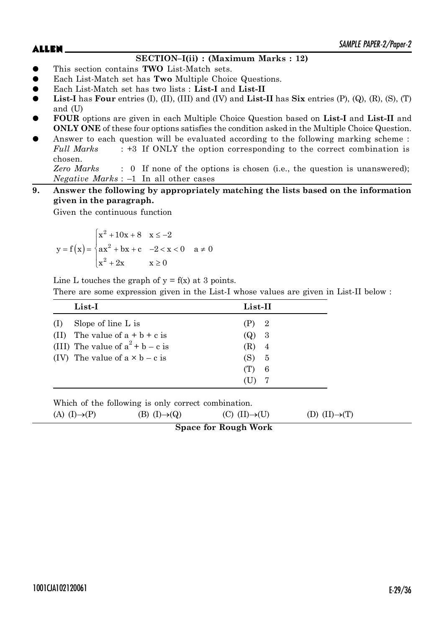# **SECTION–I(ii) : (Maximum Marks : 12)**

- z This section contains **TWO** List-Match sets.
- z Each List-Match set has **Two** Multiple Choice Questions.
- z Each List-Match set has two lists : **List-I** and **List-II**
- **List-I** has **Four** entries  $(I)$ ,  $(II)$ ,  $(III)$  and  $(IV)$  and  $List-II$  has  $Six$  entries  $(P)$ ,  $(Q)$ ,  $(R)$ ,  $(S)$ ,  $(T)$ and (U)
- z **FOUR** options are given in each Multiple Choice Question based on **List-I** and **List-II** and **ONLY ONE** of these four options satisfies the condition asked in the Multiple Choice Question.
- Answer to each question will be evaluated according to the following marking scheme : *Full Marks* : +3 If ONLY the option corresponding to the correct combination is chosen.

*Zero Marks* : 0 If none of the options is chosen (i.e., the question is unanswered); *Negative Marks* : –1 In all other cases

**9. Answer the following by appropriately matching the lists based on the information given in the paragraph.**

Given the continuous function

$$
y = f(x) = \begin{cases} x^2 + 10x + 8 & x \le -2 \\ ax^2 + bx + c & -2 < x < 0 \\ x^2 + 2x & x \ge 0 \end{cases}
$$
 a \ne 0

Line L touches the graph of  $y = f(x)$  at 3 points.

There are some expression given in the List-I whose values are given in List-II below :

|     | List-I                                | List-II |     |
|-----|---------------------------------------|---------|-----|
| (1) | Slope of line L is                    | (P) 2   |     |
|     | (II) The value of $a + b + c$ is      | (Q)     | - 3 |
|     | (III) The value of $a^2 + b - c$ is   | $(R)$ 4 |     |
|     | (IV) The value of $a \times b - c$ is | (S) 5   |     |
|     |                                       | (T)     | -6  |
|     |                                       |         |     |
|     |                                       |         |     |

Which of the following is only correct combination. (A)  $(I) \rightarrow (P)$  (B)  $(I) \rightarrow (Q)$  (C)  $(II) \rightarrow (U)$  (D)  $(II) \rightarrow (T)$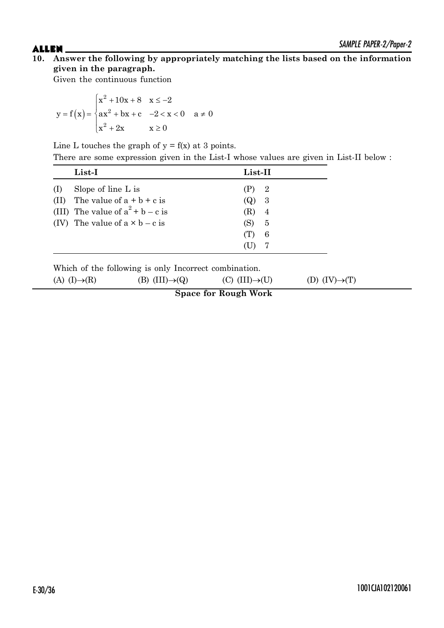Given the continuous function

$$
y = f(x) = \begin{cases} x^2 + 10x + 8 & x \le -2 \\ ax^2 + bx + c & -2 < x < 0 \\ x^2 + 2x & x \ge 0 \end{cases}
$$
 a \ne 0

Line L touches the graph of  $y = f(x)$  at 3 points.

There are some expression given in the List-I whose values are given in List-II below :

| List-I                                |                             | List-II |                |  |
|---------------------------------------|-----------------------------|---------|----------------|--|
| Slope of line $L$ is<br>(1)           |                             | (P)     | $\overline{2}$ |  |
| (II)                                  | The value of $a + b + c$ is | (Q)     | -3             |  |
| (III) The value of $a^2 + b - c$ is   |                             | (R)     | 4              |  |
| (IV) The value of $a \times b - c$ is |                             | (S)     | 5              |  |
|                                       |                             | (T)     | 6              |  |
|                                       |                             | (U)     | -7             |  |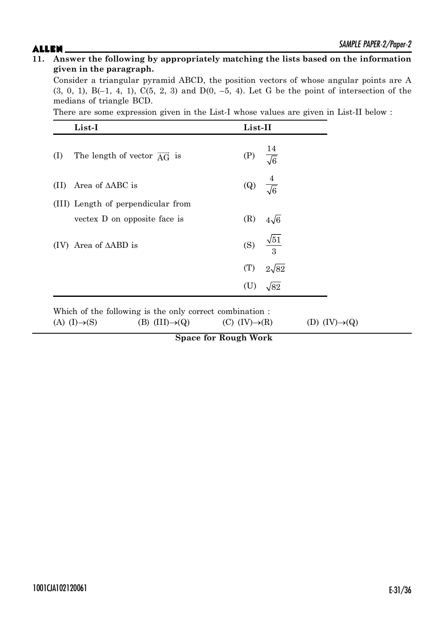Consider a triangular pyramid ABCD, the position vectors of whose angular points are A  $(3, 0, 1)$ , B $(-1, 4, 1)$ ,  $C(5, 2, 3)$  and  $D(0, -5, 4)$ . Let G be the point of intersection of the medians of triangle BCD.

There are some expression given in the List-I whose values are given in List-II below :

|      | List-I                                        | List-II                   |                           |
|------|-----------------------------------------------|---------------------------|---------------------------|
| (I)  | The length of vector $\overrightarrow{AG}$ is | (P) $\frac{14}{\sqrt{6}}$ |                           |
| (II) | Area of $\triangle ABC$ is                    | (Q)                       | $\frac{4}{\sqrt{6}}$      |
|      | (III) Length of perpendicular from            |                           |                           |
|      | vectors D on opposite face is                 | (R)                       | $4\sqrt{6}$               |
| (IV) | Area of $\triangle ABD$ is                    |                           | (S) $\frac{\sqrt{51}}{3}$ |
|      |                                               | (T)                       | $2\sqrt{82}$              |
|      |                                               | (U)                       | $\sqrt{82}$               |

Which of the following is the only correct combination :

(A) (I) $\rightarrow$ (S) (B) (III) $\rightarrow$ (Q) (C) (IV) $\rightarrow$ (R) (D) (IV) $\rightarrow$ (Q)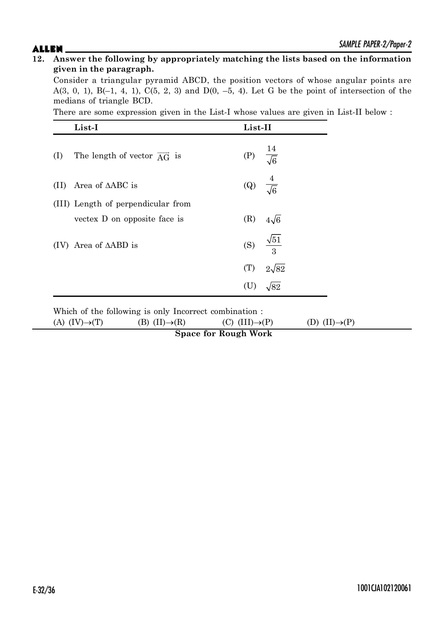Consider a triangular pyramid ABCD, the position vectors of whose angular points are A(3, 0, 1), B(-1, 4, 1), C(5, 2, 3) and D(0, -5, 4). Let G be the point of intersection of the medians of triangle BCD.

There are some expression given in the List-I whose values are given in List-II below :

|      | List-I                                        | List-II                   |                           |
|------|-----------------------------------------------|---------------------------|---------------------------|
| (I)  | The length of vector $\overrightarrow{AG}$ is | (P) $\frac{14}{\sqrt{6}}$ |                           |
| (11) | Area of $\triangle ABC$ is                    | (Q) $\frac{4}{\sqrt{6}}$  |                           |
|      | (III) Length of perpendicular from            |                           |                           |
|      | vectex D on opposite face is                  | (R)                       | $4\sqrt{6}$               |
| (IV) | Area of $\triangle ABD$ is                    |                           | (S) $\frac{\sqrt{51}}{3}$ |
|      |                                               | (T)                       | $2\sqrt{82}$              |
|      |                                               |                           | $\sqrt{82}$               |

Which of the following is only Incorrect combination :

(A)  $(IV) \rightarrow (T)$  (B)  $(II) \rightarrow (R)$  (C)  $(III) \rightarrow (P)$  (D)  $(II) \rightarrow (P)$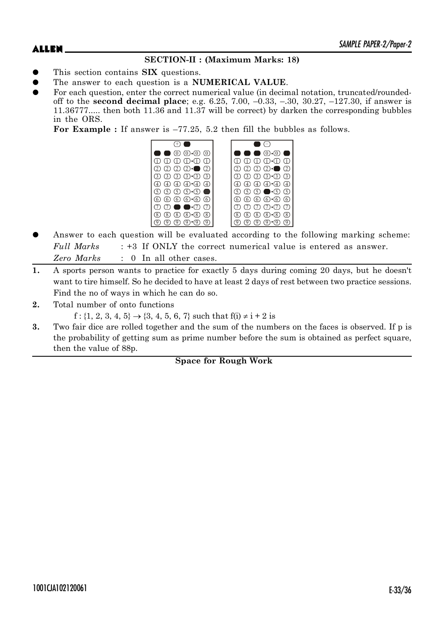# **SECTION-II : (Maximum Marks: 18)**

- This section contains **SIX** questions.
- The answer to each question is a **NUMERICAL VALUE**.
- For each question, enter the correct numerical value (in decimal notation, truncated/roundedoff to the **second decimal place**; e.g. 6.25, 7.00, –0.33, –.30, 30.27, –127.30, if answer is 11.36777..... then both 11.36 and 11.37 will be correct) by darken the corresponding bubbles in the ORS.

**For Example :** If answer is –77.25, 5.2 then fill the bubbles as follows.



- Answer to each question will be evaluated according to the following marking scheme: *Full Marks* : +3 If ONLY the correct numerical value is entered as answer. *Zero Marks* : 0 In all other cases.
- **1.** A sports person wants to practice for exactly 5 days during coming 20 days, but he doesn't want to tire himself. So he decided to have at least 2 days of rest between two practice sessions. Find the no of ways in which he can do so.
- **2.** Total number of onto functions

 $f: \{1, 2, 3, 4, 5\} \rightarrow \{3, 4, 5, 6, 7\}$  such that  $f(i) \neq i + 2$  is

**3.** Two fair dice are rolled together and the sum of the numbers on the faces is observed. If p is the probability of getting sum as prime number before the sum is obtained as perfect square, then the value of 88p.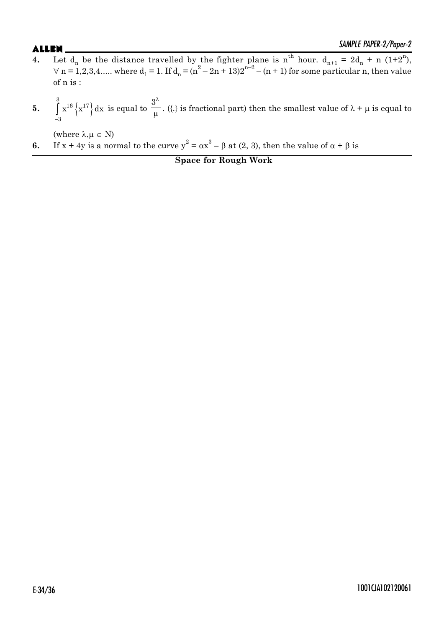- **4.** Let  $d_n$  be the distance travelled by the fighter plane is  $n^{th}$  hour.  $d_{n+1} = 2d_n + n (1+2^n)$ ,  $\forall$  n = 1,2,3,4..... where d<sub>1</sub> = 1. If d<sub>n</sub> = (n<sup>2</sup> - 2n + 13)2<sup>n-2</sup> - (n + 1) for some particular n, then value of n is :
- **5.**  $\int x^{16} \left\{ x^{17} \right\} d$ 3  $16 \int 17$ 3  $\mathbf{x}^{16} \left\{ \mathbf{x}^{17} \right\} \mathrm{d} \mathbf{x}$  $\overline{\phantom{0}}$  $\int x^{16} \left\{ x^{17} \right\} dx$  is equal to  $3^{\lambda}$  $\frac{p}{\mu}$  . ({.} is fractional part) then the smallest value of  $\lambda + \mu$  is equal to

(where  $\lambda, \mu \in N$ )

**6.** If  $x + 4y$  is a normal to the curve  $y^2 = \alpha x^3 - \beta$  at (2, 3), then the value of  $\alpha + \beta$  is